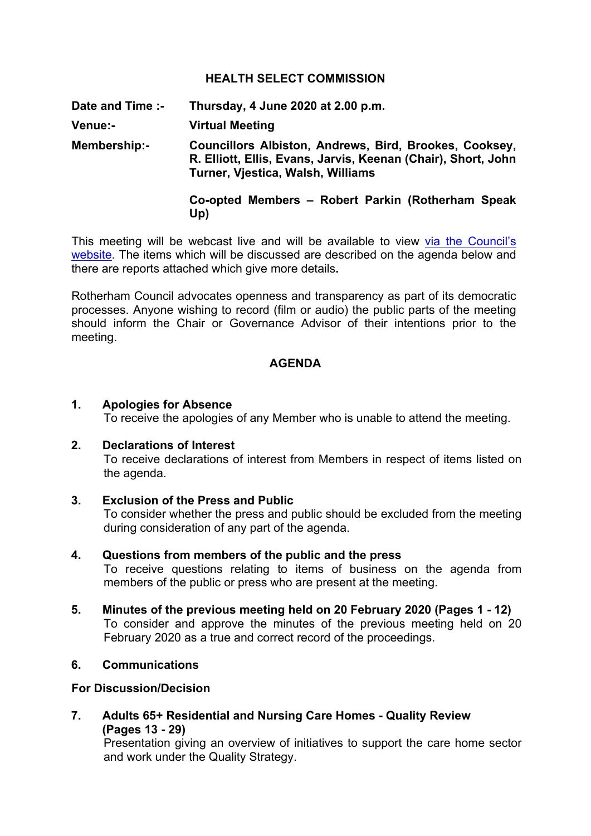## **HEALTH SELECT COMMISSION**

**Date and Time :- Thursday, 4 June 2020 at 2.00 p.m.**

**Venue:- Virtual Meeting**

**Membership:- Councillors Albiston, Andrews, Bird, Brookes, Cooksey, R. Elliott, Ellis, Evans, Jarvis, Keenan (Chair), Short, John Turner, Vjestica, Walsh, Williams**

# **Co-opted Members – Robert Parkin (Rotherham Speak Up)**

This meeting will be webcast live and will be available to view via the [Council's](https://rotherham.public-i.tv/core/portal/home) [website.](https://rotherham.public-i.tv/core/portal/home) The items which will be discussed are described on the agenda below and there are reports attached which give more details**.**

Rotherham Council advocates openness and transparency as part of its democratic processes. Anyone wishing to record (film or audio) the public parts of the meeting should inform the Chair or Governance Advisor of their intentions prior to the meeting.

## **AGENDA**

#### **1. Apologies for Absence**

To receive the apologies of any Member who is unable to attend the meeting.

## **2. Declarations of Interest**

To receive declarations of interest from Members in respect of items listed on the agenda.

## **3. Exclusion of the Press and Public**

To consider whether the press and public should be excluded from the meeting during consideration of any part of the agenda.

## **4. Questions from members of the public and the press**

To receive questions relating to items of business on the agenda from members of the public or press who are present at the meeting.

**5. Minutes of the previous meeting held on 20 February 2020 (Pages 1 - 12)** To consider and approve the minutes of the previous meeting held on 20 February 2020 as a true and correct record of the proceedings.

# **6. Communications**

#### **For Discussion/Decision**

**7. Adults 65+ Residential and Nursing Care Homes - Quality Review (Pages 13 - 29)**

Presentation giving an overview of initiatives to support the care home sector and work under the Quality Strategy.